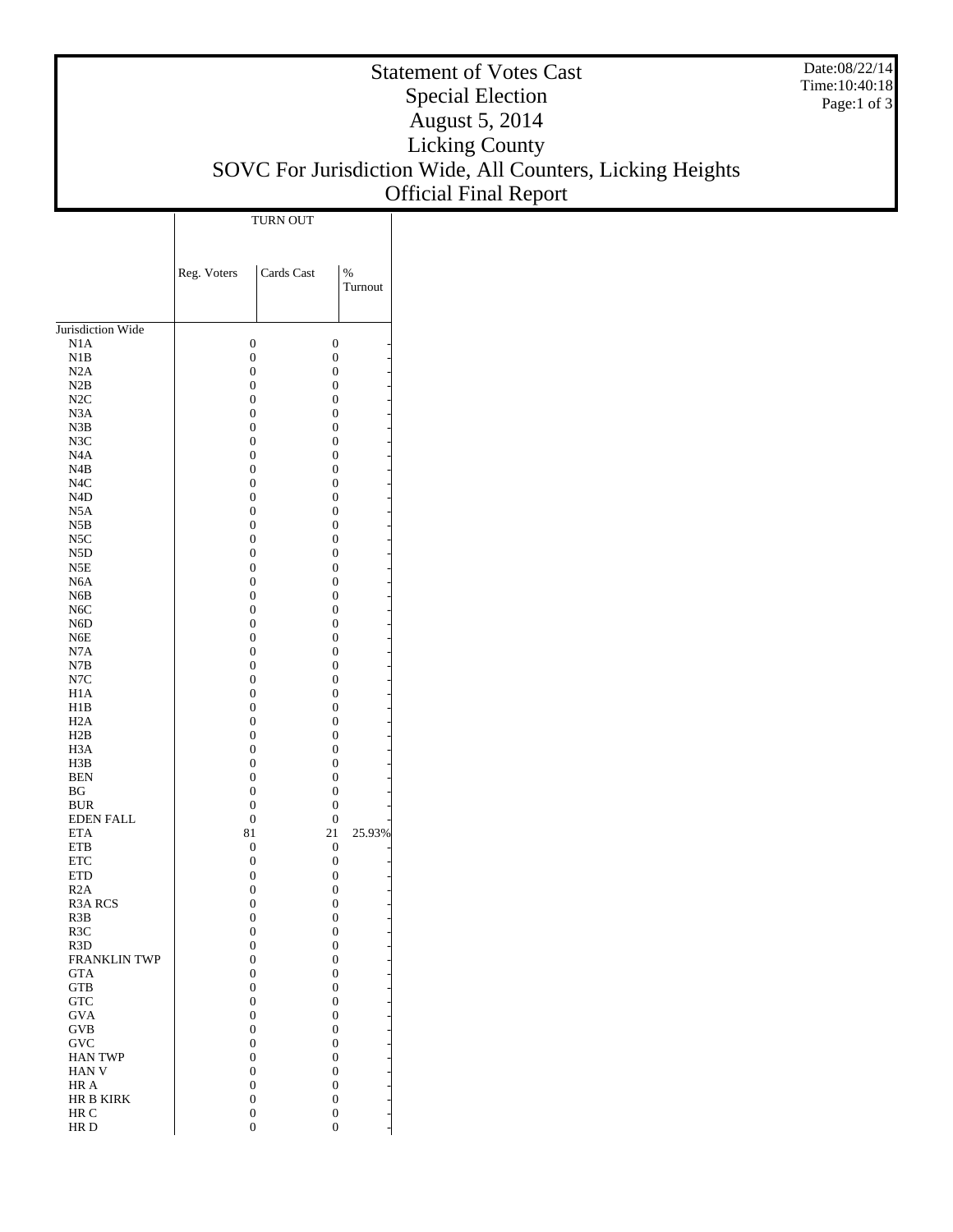## Statement of Votes Cast Special Election August 5, 2014 Licking County SOVC For Jurisdiction Wide, All Counters, Licking Heights Official Final Report

Date:08/22/14 Time:10:40:18 Page:1 of 3

|                                         | <b>TURN OUT</b>                      |                                      |                   |  |
|-----------------------------------------|--------------------------------------|--------------------------------------|-------------------|--|
|                                         |                                      |                                      |                   |  |
|                                         |                                      |                                      |                   |  |
|                                         | Reg. Voters                          | Cards Cast                           | $\%$              |  |
|                                         |                                      |                                      | Turnout           |  |
|                                         |                                      |                                      |                   |  |
|                                         |                                      |                                      |                   |  |
| Jurisdiction Wide                       |                                      |                                      |                   |  |
| N1A<br>N1B                              | $\mathbf{0}$<br>$\mathbf{0}$         | $\boldsymbol{0}$<br>$\mathbf{0}$     |                   |  |
| N2A                                     | $\mathbf{0}$                         | $\boldsymbol{0}$                     |                   |  |
| N2B                                     | $\mathbf{0}$                         | $\boldsymbol{0}$                     |                   |  |
| N2C                                     | $\mathbf{0}$                         | $\boldsymbol{0}$                     |                   |  |
| N3A                                     | $\mathbf{0}$                         | $\boldsymbol{0}$                     |                   |  |
| N3B                                     | $\mathbf{0}$                         | $\boldsymbol{0}$                     |                   |  |
| N3C                                     | $\boldsymbol{0}$                     | $\boldsymbol{0}$                     |                   |  |
| N <sub>4</sub> A                        | $\boldsymbol{0}$<br>$\boldsymbol{0}$ | $\boldsymbol{0}$<br>$\boldsymbol{0}$ |                   |  |
| N4B<br>N <sub>4</sub> C                 | $\mathbf{0}$                         | $\boldsymbol{0}$                     |                   |  |
| N <sub>4</sub> D                        | $\boldsymbol{0}$                     | $\boldsymbol{0}$                     |                   |  |
| N5A                                     | $\boldsymbol{0}$                     | $\boldsymbol{0}$                     |                   |  |
| N5B                                     | $\mathbf{0}$                         | $\boldsymbol{0}$                     |                   |  |
| N5C                                     | $\mathbf{0}$                         | $\boldsymbol{0}$                     |                   |  |
| N <sub>5</sub> D                        | $\boldsymbol{0}$                     | $\boldsymbol{0}$                     |                   |  |
| N <sub>5</sub> E                        | $\boldsymbol{0}$                     | $\boldsymbol{0}$                     |                   |  |
| N <sub>6</sub> A<br>N6B                 | $\mathbf{0}$<br>$\mathbf{0}$         | $\boldsymbol{0}$<br>$\boldsymbol{0}$ |                   |  |
| N <sub>6</sub> C                        | $\boldsymbol{0}$                     | $\boldsymbol{0}$                     |                   |  |
| N6D                                     | $\boldsymbol{0}$                     | $\boldsymbol{0}$                     |                   |  |
| N6E                                     | $\mathbf{0}$                         | $\boldsymbol{0}$                     |                   |  |
| N7A                                     | $\mathbf{0}$                         | $\boldsymbol{0}$                     |                   |  |
| N7B                                     | $\boldsymbol{0}$                     | $\boldsymbol{0}$                     |                   |  |
| N7C                                     | $\boldsymbol{0}$                     | $\boldsymbol{0}$                     |                   |  |
| H <sub>1</sub> A<br>H1B                 | $\mathbf{0}$<br>$\mathbf{0}$         | $\boldsymbol{0}$<br>$\boldsymbol{0}$ |                   |  |
| H <sub>2</sub> A                        | $\boldsymbol{0}$                     | $\boldsymbol{0}$                     |                   |  |
| H2B                                     | $\boldsymbol{0}$                     | $\boldsymbol{0}$                     |                   |  |
| H <sub>3</sub> A                        | $\mathbf{0}$                         | $\boldsymbol{0}$                     |                   |  |
| H3B                                     | $\mathbf{0}$                         | $\boldsymbol{0}$                     |                   |  |
| <b>BEN</b>                              | $\boldsymbol{0}$                     | $\boldsymbol{0}$                     |                   |  |
| BG                                      | $\mathbf{0}$                         | $\boldsymbol{0}$                     |                   |  |
| <b>BUR</b>                              | $\mathbf{0}$                         | $\boldsymbol{0}$                     |                   |  |
| <b>EDEN FALL</b><br><b>ETA</b>          | $\mathbf{0}$<br>81                   | $\boldsymbol{0}$<br>21               | 25.93%            |  |
| <b>ETB</b>                              | 0                                    | 0                                    |                   |  |
| <b>ETC</b>                              | $\mathbf{0}$                         | $\boldsymbol{0}$                     |                   |  |
| <b>ETD</b>                              | $\mathbf{0}$                         | $\boldsymbol{0}$                     |                   |  |
| R <sub>2</sub> A                        | $\boldsymbol{0}$                     | $\boldsymbol{0}$                     |                   |  |
| R3A RCS                                 | $\mathbf{0}$                         | 0                                    |                   |  |
| R3B                                     | 0                                    | $\boldsymbol{0}$                     |                   |  |
| R <sub>3</sub> C                        | $\mathbf{0}$<br>$\boldsymbol{0}$     | $\boldsymbol{0}$<br>$\boldsymbol{0}$ |                   |  |
| R <sub>3</sub> D<br><b>FRANKLIN TWP</b> | $\boldsymbol{0}$                     | $\boldsymbol{0}$                     |                   |  |
| <b>GTA</b>                              | $\boldsymbol{0}$                     | $\boldsymbol{0}$                     |                   |  |
| <b>GTB</b>                              | $\boldsymbol{0}$                     | $\boldsymbol{0}$                     |                   |  |
| <b>GTC</b>                              | $\boldsymbol{0}$                     | $\boldsymbol{0}$                     |                   |  |
| <b>GVA</b>                              | $\boldsymbol{0}$                     | $\boldsymbol{0}$                     |                   |  |
| GVB                                     | $\boldsymbol{0}$                     | $\boldsymbol{0}$                     | ----------------- |  |
| GVC                                     | $\boldsymbol{0}$                     | $\boldsymbol{0}$                     |                   |  |
| <b>HAN TWP</b><br>HAN V                 | $\boldsymbol{0}$<br>$\boldsymbol{0}$ | $\boldsymbol{0}$<br>$\boldsymbol{0}$ |                   |  |
| HR A                                    | $\boldsymbol{0}$                     | $\boldsymbol{0}$                     |                   |  |
| HR B KIRK                               | $\boldsymbol{0}$                     | 0                                    |                   |  |
| HR C                                    | $\boldsymbol{0}$                     | 0                                    |                   |  |
| HR <sub>D</sub>                         | $\mathbf{0}$                         | $\boldsymbol{0}$                     |                   |  |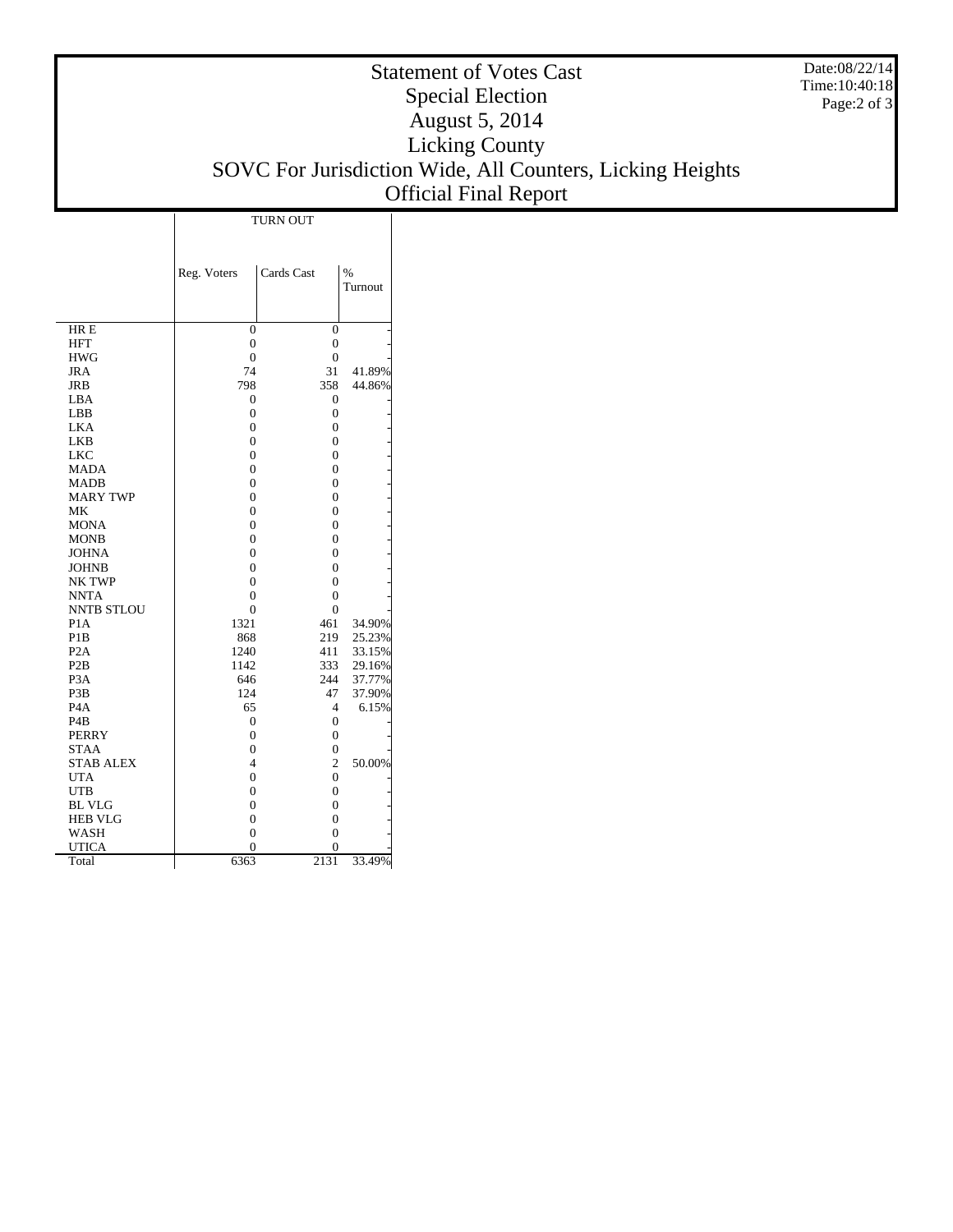## Statement of Votes Cast Special Election August 5, 2014 Licking County SOVC For Jurisdiction Wide, All Counters, Licking Heights Official Final Report

|                               | <b>TURN OUT</b>                  |                     |                          |  |
|-------------------------------|----------------------------------|---------------------|--------------------------|--|
|                               |                                  |                     |                          |  |
|                               | Reg. Voters                      | Cards Cast          | $\frac{0}{6}$<br>Turnout |  |
| HR E                          | $\mathbf{0}$                     | $\overline{0}$      |                          |  |
| <b>HFT</b>                    | $\boldsymbol{0}$                 | $\boldsymbol{0}$    |                          |  |
| <b>HWG</b>                    | $\mathbf{0}$                     | $\boldsymbol{0}$    |                          |  |
| JRA                           | 74                               | 31                  | 41.89%                   |  |
| JRB                           | 798                              | 358                 | 44.86%                   |  |
| LBA                           | $\overline{0}$                   | 0                   |                          |  |
| LBB                           | $\overline{0}$                   | 0                   |                          |  |
| <b>LKA</b>                    | $\overline{0}$                   | $\overline{0}$      |                          |  |
| <b>LKB</b>                    | $\overline{0}$                   | 0                   |                          |  |
| <b>LKC</b>                    | $\theta$                         | $\overline{0}$      |                          |  |
| <b>MADA</b>                   | $\overline{0}$                   | 0                   |                          |  |
| <b>MADB</b>                   | $\overline{0}$                   | 0                   |                          |  |
| <b>MARY TWP</b>               | $\overline{0}$                   | $\overline{0}$      |                          |  |
| MK                            | $\overline{0}$<br>$\overline{0}$ | $\overline{0}$<br>0 |                          |  |
| <b>MONA</b><br><b>MONB</b>    | $\overline{0}$                   | 0                   |                          |  |
| <b>JOHNA</b>                  | $\overline{0}$                   | 0                   |                          |  |
| <b>JOHNB</b>                  | $\overline{0}$                   | 0                   |                          |  |
| <b>NK TWP</b>                 | $\overline{0}$                   | $\overline{0}$      |                          |  |
| <b>NNTA</b>                   | $\overline{0}$                   | 0                   |                          |  |
| <b>NNTB STLOU</b>             | $\overline{0}$                   | 0                   |                          |  |
| P <sub>1</sub> A              | 1321                             | 461                 | 34.90%                   |  |
| P <sub>1</sub> B              | 868                              | 219                 | 25.23%                   |  |
| P <sub>2</sub> A              | 1240                             | 411                 | 33.15%                   |  |
| P <sub>2</sub> B              | 1142                             | 333                 | 29.16%                   |  |
| P <sub>3</sub> A              | 646                              | 244                 | 37.77%                   |  |
| P <sub>3</sub> B              | 124                              | 47                  | 37.90%                   |  |
| P <sub>4</sub> A              | 65                               | 4                   | 6.15%                    |  |
| P <sub>4</sub> B              | $\overline{0}$                   | $\boldsymbol{0}$    |                          |  |
| PERRY                         | $\overline{0}$                   | $\overline{0}$      |                          |  |
| STAA                          | $\overline{0}$                   | 0                   |                          |  |
| <b>STAB ALEX</b>              | 4                                | $\overline{c}$      | 50.00%                   |  |
| <b>UTA</b>                    | $\overline{0}$                   | 0                   |                          |  |
| <b>UTB</b>                    | $\overline{0}$                   | 0                   |                          |  |
| <b>BL VLG</b>                 | $\overline{0}$                   | 0                   |                          |  |
| <b>HEB VLG</b><br><b>WASH</b> | $\overline{0}$                   | $\overline{0}$      |                          |  |
| <b>UTICA</b>                  | $\overline{0}$<br>$\theta$       | 0<br>$\theta$       |                          |  |
| Total                         | 6363                             | 2131                | 33.49%                   |  |
|                               |                                  |                     |                          |  |

Date:08/22/14 Time:10:40:18 Page:2 of 3